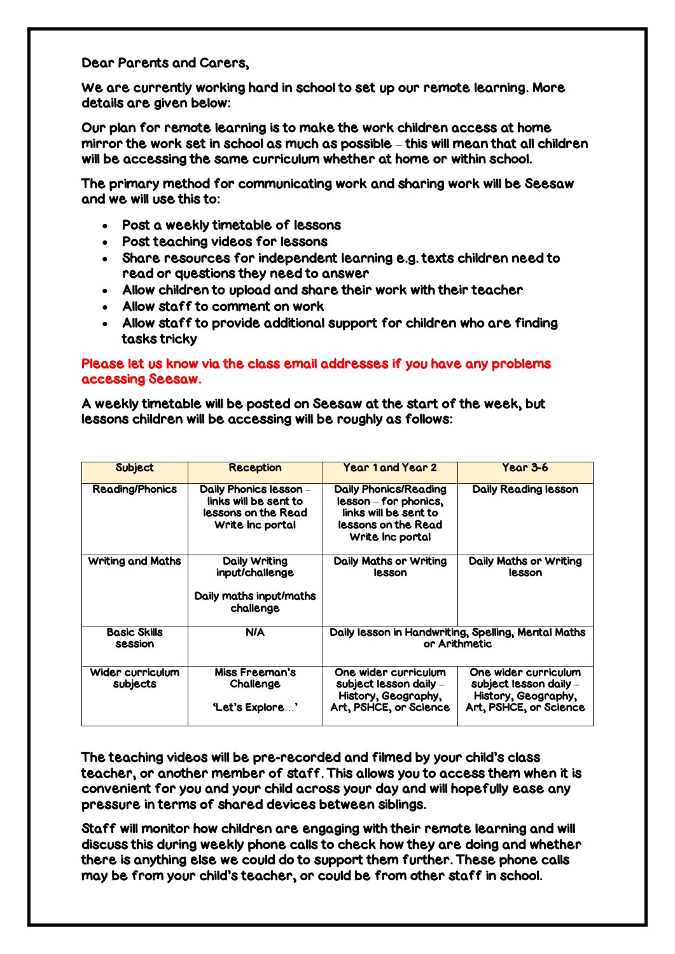Dear Parents and Carers,

We are currently working hard in school to set up our remote learning. More details are given below:

Our plan for remote learning is to make the work children access at home mirror the work set in school as much as possible – this will mean that all children will be accessing the same curriculum whether at home or within school.

The primary method for communicating work and sharing work will be Seesaw and we will use this to:

- Post a weekly timetable of lessons
- Post teaching videos for lessons
- Share resources for independent learning e.g. texts children need to read or questions they need to answer
- Allow children to upload and share their work with their teacher
- Allow staff to comment on work
- Allow staff to provide additional support for children who are finding tasks tricky

# Please let us know via the class email addresses if you have any problems accessing Seesaw.

A weekly timetable will be posted on Seesaw at the start of the week, but lessons children will be accessing will be roughly as follows:

| Subject                        | <b>Reception</b>                                                                           | Year 1 and Year 2                                                                                                         | Year 3-6                                                                                        |
|--------------------------------|--------------------------------------------------------------------------------------------|---------------------------------------------------------------------------------------------------------------------------|-------------------------------------------------------------------------------------------------|
| <b>Reading/Phonics</b>         | Daily Phonics lesson -<br>links will be sent to<br>lessons on the Read<br>Write Inc portal | <b>Daily Phonics/Reading</b><br>lesson – for phonics,<br>links will be sent to<br>lessons on the Read<br>Write Inc portal | <b>Daily Reading lesson</b>                                                                     |
| <b>Writing and Maths</b>       | Daily Writing<br>input/challenge<br>Daily maths input/maths<br>challenge                   | Daily Maths or Writing<br>lesson                                                                                          | Daily Maths or Writing<br>lesson                                                                |
| <b>Basic Skills</b><br>session | <b>N/A</b>                                                                                 | Daily lesson in Handwriting, Spelling, Mental Maths<br>or Arithmetic                                                      |                                                                                                 |
| Wider curriculum<br>subjects   | Miss Freeman's<br>Challenge<br>'Let's Explore'                                             | One wider curriculum<br>subject lesson daily –<br>History, Geography,<br>Art, PSHCE, or Science                           | One wider curriculum<br>subject lesson daily –<br>History, Geography,<br>Art, PSHCE, or Science |

The teaching videos will be pre-recorded and filmed by your child's class teacher, or another member of staff. This allows you to access them when it is convenient for you and your child across your day and will hopefully ease any pressure in terms of shared devices between siblings.

Staff will monitor how children are engaging with their remote learning and will discuss this during weekly phone calls to check how they are doing and whether there is anything else we could do to support them further. These phone calls may be from your child's teacher, or could be from other staff in school.